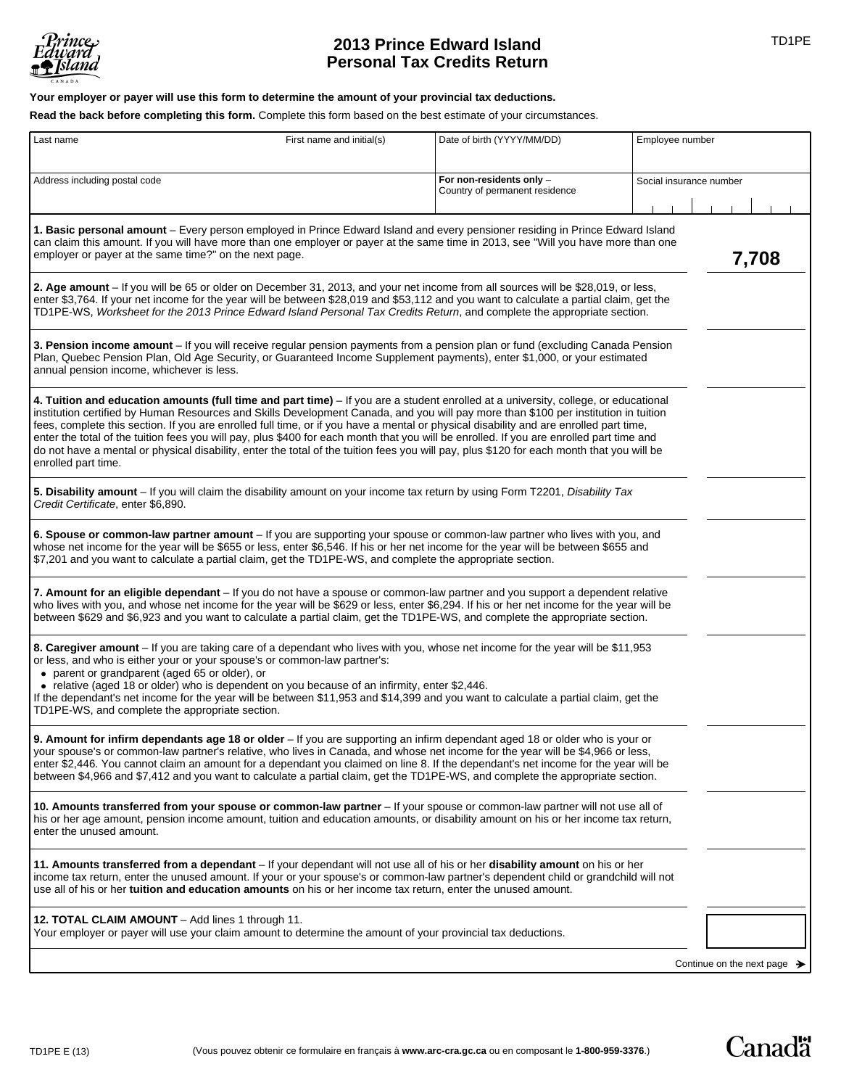

# **2013 Prince Edward Island 2013 Prince Edward Island Personal Tax Credits Return**

**Your employer or payer will use this form to determine the amount of your provincial tax deductions.** 

**Read the back before completing this form.** Complete this form based on the best estimate of your circumstances.

| Last name<br>First name and initial(s)                                                                                                                                                                                                                                                                                                                                                                                                                                                                                                                                                                                                                                                                                               | Date of birth (YYYY/MM/DD)                                 | Employee number         |
|--------------------------------------------------------------------------------------------------------------------------------------------------------------------------------------------------------------------------------------------------------------------------------------------------------------------------------------------------------------------------------------------------------------------------------------------------------------------------------------------------------------------------------------------------------------------------------------------------------------------------------------------------------------------------------------------------------------------------------------|------------------------------------------------------------|-------------------------|
| Address including postal code                                                                                                                                                                                                                                                                                                                                                                                                                                                                                                                                                                                                                                                                                                        | For non-residents only -<br>Country of permanent residence | Social insurance number |
| 1. Basic personal amount - Every person employed in Prince Edward Island and every pensioner residing in Prince Edward Island<br>can claim this amount. If you will have more than one employer or payer at the same time in 2013, see "Will you have more than one<br>employer or payer at the same time?" on the next page.<br>7,708                                                                                                                                                                                                                                                                                                                                                                                               |                                                            |                         |
| 2. Age amount - If you will be 65 or older on December 31, 2013, and your net income from all sources will be \$28,019, or less,<br>enter \$3,764. If your net income for the year will be between \$28,019 and \$53,112 and you want to calculate a partial claim, get the<br>TD1PE-WS, Worksheet for the 2013 Prince Edward Island Personal Tax Credits Return, and complete the appropriate section.                                                                                                                                                                                                                                                                                                                              |                                                            |                         |
| 3. Pension income amount - If you will receive regular pension payments from a pension plan or fund (excluding Canada Pension<br>Plan, Quebec Pension Plan, Old Age Security, or Guaranteed Income Supplement payments), enter \$1,000, or your estimated<br>annual pension income, whichever is less.                                                                                                                                                                                                                                                                                                                                                                                                                               |                                                            |                         |
| 4. Tuition and education amounts (full time and part time) - If you are a student enrolled at a university, college, or educational<br>institution certified by Human Resources and Skills Development Canada, and you will pay more than \$100 per institution in tuition<br>fees, complete this section. If you are enrolled full time, or if you have a mental or physical disability and are enrolled part time,<br>enter the total of the tuition fees you will pay, plus \$400 for each month that you will be enrolled. If you are enrolled part time and<br>do not have a mental or physical disability, enter the total of the tuition fees you will pay, plus \$120 for each month that you will be<br>enrolled part time. |                                                            |                         |
| 5. Disability amount – If you will claim the disability amount on your income tax return by using Form T2201, Disability Tax<br>Credit Certificate, enter \$6,890.                                                                                                                                                                                                                                                                                                                                                                                                                                                                                                                                                                   |                                                            |                         |
| 6. Spouse or common-law partner amount – If you are supporting your spouse or common-law partner who lives with you, and<br>whose net income for the year will be \$655 or less, enter \$6,546. If his or her net income for the year will be between \$655 and<br>\$7,201 and you want to calculate a partial claim, get the TD1PE-WS, and complete the appropriate section.                                                                                                                                                                                                                                                                                                                                                        |                                                            |                         |
| 7. Amount for an eligible dependant - If you do not have a spouse or common-law partner and you support a dependent relative<br>who lives with you, and whose net income for the year will be \$629 or less, enter \$6,294. If his or her net income for the year will be<br>between \$629 and \$6,923 and you want to calculate a partial claim, get the TD1PE-WS, and complete the appropriate section.                                                                                                                                                                                                                                                                                                                            |                                                            |                         |
| 8. Caregiver amount - If you are taking care of a dependant who lives with you, whose net income for the year will be \$11,953<br>or less, and who is either your or your spouse's or common-law partner's:<br>• parent or grandparent (aged 65 or older), or<br>• relative (aged 18 or older) who is dependent on you because of an infirmity, enter \$2,446.<br>If the dependant's net income for the year will be between \$11,953 and \$14,399 and you want to calculate a partial claim, get the<br>TD1PE-WS, and complete the appropriate section.                                                                                                                                                                             |                                                            |                         |
| 9. Amount for infirm dependants age 18 or older - If you are supporting an infirm dependant aged 18 or older who is your or<br>your spouse's or common-law partner's relative, who lives in Canada, and whose net income for the year will be \$4,966 or less,<br>enter \$2,446. You cannot claim an amount for a dependant you claimed on line 8. If the dependant's net income for the year will be<br>between \$4,966 and \$7,412 and you want to calculate a partial claim, get the TD1PE-WS, and complete the appropriate section.                                                                                                                                                                                              |                                                            |                         |
| 10. Amounts transferred from your spouse or common-law partner – If your spouse or common-law partner will not use all of<br>his or her age amount, pension income amount, tuition and education amounts, or disability amount on his or her income tax return,<br>enter the unused amount.                                                                                                                                                                                                                                                                                                                                                                                                                                          |                                                            |                         |
| 11. Amounts transferred from a dependant – If your dependant will not use all of his or her disability amount on his or her<br>income tax return, enter the unused amount. If your or your spouse's or common-law partner's dependent child or grandchild will not<br>use all of his or her tuition and education amounts on his or her income tax return, enter the unused amount.                                                                                                                                                                                                                                                                                                                                                  |                                                            |                         |
| 12. TOTAL CLAIM AMOUNT - Add lines 1 through 11.<br>Your employer or payer will use your claim amount to determine the amount of your provincial tax deductions.                                                                                                                                                                                                                                                                                                                                                                                                                                                                                                                                                                     |                                                            |                         |
| Continue on the next page $\rightarrow$                                                                                                                                                                                                                                                                                                                                                                                                                                                                                                                                                                                                                                                                                              |                                                            |                         |

**Canadä**